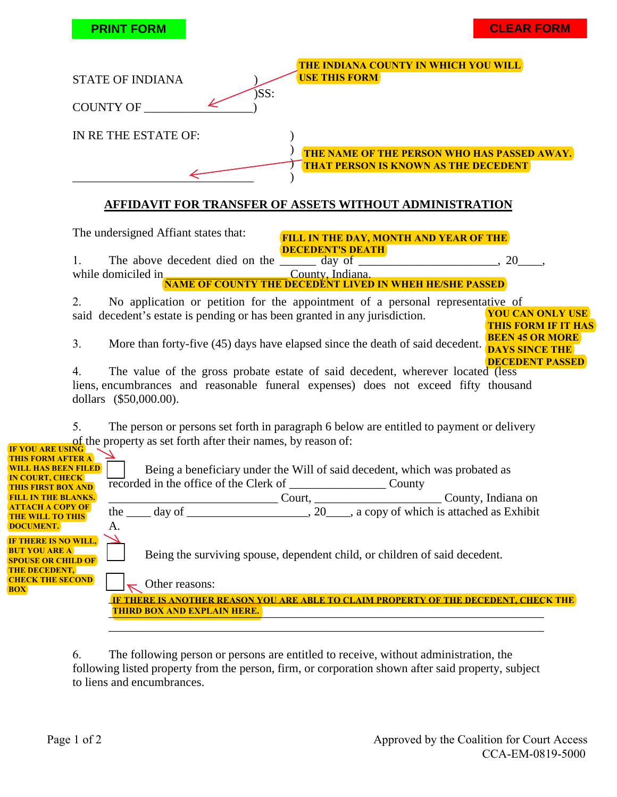|                                                                                                                                                                                                                                                            | <b>CLEAR FORM</b><br><b>PRINT FORM</b>                                                                                                                                                                                                                                                                                                                                                                                                                                                                                                                                                                   |  |
|------------------------------------------------------------------------------------------------------------------------------------------------------------------------------------------------------------------------------------------------------------|----------------------------------------------------------------------------------------------------------------------------------------------------------------------------------------------------------------------------------------------------------------------------------------------------------------------------------------------------------------------------------------------------------------------------------------------------------------------------------------------------------------------------------------------------------------------------------------------------------|--|
|                                                                                                                                                                                                                                                            | THE INDIANA COUNTY IN WHICH YOU WILL<br><b>USE THIS FORM</b><br><b>STATE OF INDIANA</b><br>$)$ SS:<br>COUNTY OF                                                                                                                                                                                                                                                                                                                                                                                                                                                                                          |  |
|                                                                                                                                                                                                                                                            | IN RE THE ESTATE OF:<br>THE NAME OF THE PERSON WHO HAS PASSED AWAY.<br><b>THAT PERSON IS KNOWN AS THE DECEDENT</b>                                                                                                                                                                                                                                                                                                                                                                                                                                                                                       |  |
|                                                                                                                                                                                                                                                            | <b>AFFIDAVIT FOR TRANSFER OF ASSETS WITHOUT ADMINISTRATION</b><br>The undersigned Affiant states that:<br><b>FILL IN THE DAY, MONTH AND YEAR OF THE</b><br><b>DECEDENT'S DEATH</b><br>The above decedent died on the day of the day of the state of the state of the state of the state of the day of the state of the state of the state of the state of the state of the state of the state of the state of the st<br>1.<br>while domiciled in<br>County, Indiana.<br><b>NAME OF COUNTY THE DECEDENT LIVED IN WHEH HE/SHE PASSED</b>                                                                   |  |
|                                                                                                                                                                                                                                                            | 2.<br>No application or petition for the appointment of a personal representative of<br><b>YOU CAN ONLY USE</b><br>said decedent's estate is pending or has been granted in any jurisdiction.<br><b>THIS FORM IF IT HAS</b><br><b>BEEN 45 OR MORE</b><br>3.<br>More than forty-five (45) days have elapsed since the death of said decedent.<br><b>DAYS SINCE THE</b><br><b>DECEDENT PASSED</b><br>The value of the gross probate estate of said decedent, wherever located (less<br>4.<br>liens, encumbrances and reasonable funeral expenses) does not exceed fifty thousand<br>dollars (\$50,000.00). |  |
| IF VOILARE USING<br>THIS FORM AFTER A<br><b>WILL HAS BEEN FILED</b><br><b>IN COURT, CHECK</b><br><b>THIS FIRST BOX AND</b><br><b>FILL IN THE BLANKS.</b><br><b>ATTACH A COPY OF</b><br><b>THE WILL TO THIS</b><br><b>DOCUMENT.</b><br>IF THERE IS NO WILL, | 5.<br>The person or persons set forth in paragraph 6 below are entitled to payment or delivery<br>of the property as set forth after their names, by reason of:<br>Being a beneficiary under the Will of said decedent, which was probated as<br>County, Indiana on Court, Court, County, Indiana on<br>A.                                                                                                                                                                                                                                                                                               |  |
| <b>BUT YOU ARE A</b><br><b>SPOUSE OR CHILD OF</b><br><b>THE DECEDENT,</b><br><b>CHECK THE SECOND</b><br><b>BOX</b>                                                                                                                                         | Being the surviving spouse, dependent child, or children of said decedent.<br>Other reasons:<br>IF THERE IS ANOTHER REASON YOU ARE ABLE TO CLAIM PROPERTY OF THE DECEDENT, CHECK THE<br><b>THIRD BOX AND EXPLAIN HERE.</b>                                                                                                                                                                                                                                                                                                                                                                               |  |

6. The following person or persons are entitled to receive, without administration, the following listed property from the person, firm, or corporation shown after said property, subject to liens and encumbrances.